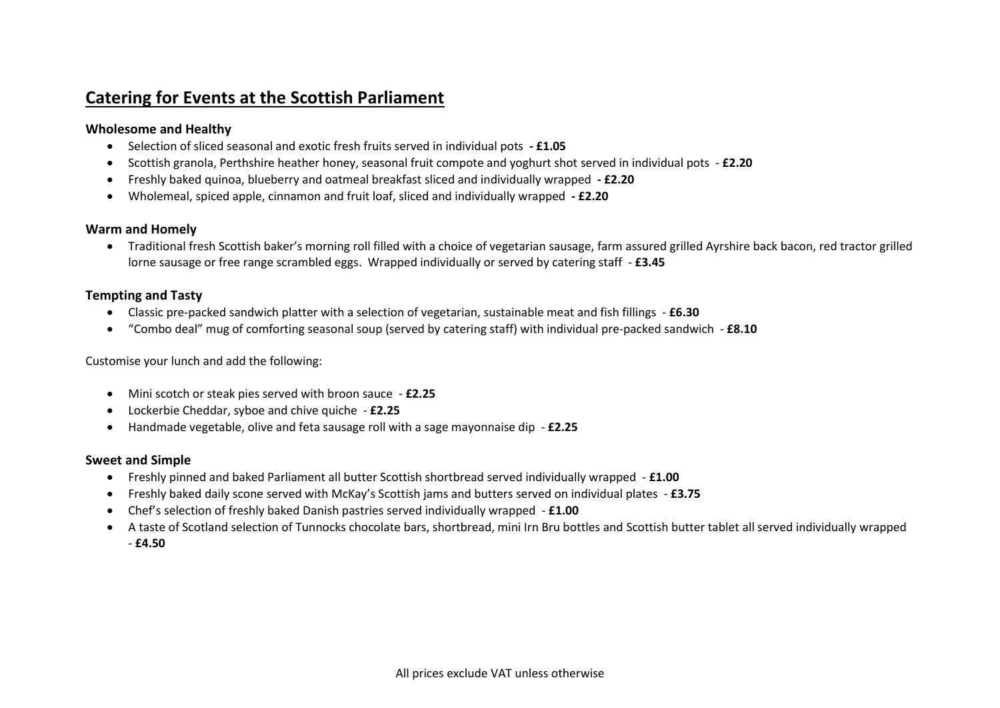# **Catering for Events at the Scottish Parliament**

# **Wholesome and Healthy**

- Selection of sliced seasonal and exotic fresh fruits served in individual pots **- £1.05**
- Scottish granola, Perthshire heather honey, seasonal fruit compote and yoghurt shot served in individual pots **£2.20**
- Freshly baked quinoa, blueberry and oatmeal breakfast sliced and individually wrapped **- £2.20**
- Wholemeal, spiced apple, cinnamon and fruit loaf, sliced and individually wrapped **- £2.20**

#### **Warm and Homely**

• Traditional fresh Scottish baker's morning roll filled with a choice of vegetarian sausage, farm assured grilled Ayrshire back bacon, red tractor grilled lorne sausage or free range scrambled eggs. Wrapped individually or served by catering staff - **£3.45**

# **Tempting and Tasty**

- Classic pre-packed sandwich platter with a selection of vegetarian, sustainable meat and fish fillings **£6.30**
- "Combo deal" mug of comforting seasonal soup (served by catering staff) with individual pre-packed sandwich **£8.10**

Customise your lunch and add the following:

- Mini scotch or steak pies served with broon sauce **£2.25**
- Lockerbie Cheddar, syboe and chive quiche **£2.25**
- Handmade vegetable, olive and feta sausage roll with a sage mayonnaise dip **£2.25**

# **Sweet and Simple**

- Freshly pinned and baked Parliament all butter Scottish shortbread served individually wrapped **£1.00**
- Freshly baked daily scone served with McKay's Scottish jams and butters served on individual plates **£3.75**
- Chef's selection of freshly baked Danish pastries served individually wrapped **£1.00**
- A taste of Scotland selection of Tunnocks chocolate bars, shortbread, mini Irn Bru bottles and Scottish butter tablet all served individually wrapped - **£4.50**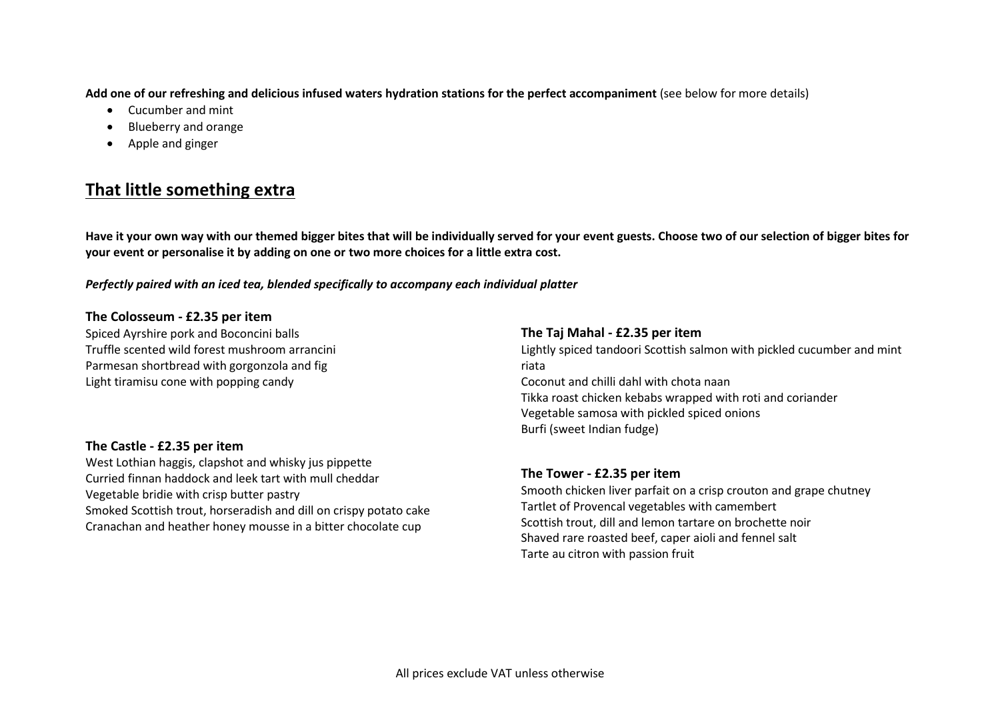**Add one of our refreshing and delicious infused waters hydration stations for the perfect accompaniment** (see below for more details)

- Cucumber and mint
- Blueberry and orange
- Apple and ginger

# **That little something extra**

**Have it your own way with our themed bigger bites that will be individually served for your event guests. Choose two of our selection of bigger bites for your event or personalise it by adding on one or two more choices for a little extra cost.**

# *Perfectly paired with an iced tea, blended specifically to accompany each individual platter*

#### **The Colosseum - £2.35 per item**

Spiced Ayrshire pork and Boconcini balls Truffle scented wild forest mushroom arrancini Parmesan shortbread with gorgonzola and fig Light tiramisu cone with popping candy

# **The Castle - £2.35 per item**

West Lothian haggis, clapshot and whisky jus pippette Curried finnan haddock and leek tart with mull cheddar Vegetable bridie with crisp butter pastry Smoked Scottish trout, horseradish and dill on crispy potato cake Cranachan and heather honey mousse in a bitter chocolate cup

#### **The Taj Mahal - £2.35 per item**

Lightly spiced tandoori Scottish salmon with pickled cucumber and mint riata Coconut and chilli dahl with chota naan Tikka roast chicken kebabs wrapped with roti and coriander Vegetable samosa with pickled spiced onions Burfi (sweet Indian fudge)

#### **The Tower - £2.35 per item**

Smooth chicken liver parfait on a crisp crouton and grape chutney Tartlet of Provencal vegetables with camembert Scottish trout, dill and lemon tartare on brochette noir Shaved rare roasted beef, caper aioli and fennel salt Tarte au citron with passion fruit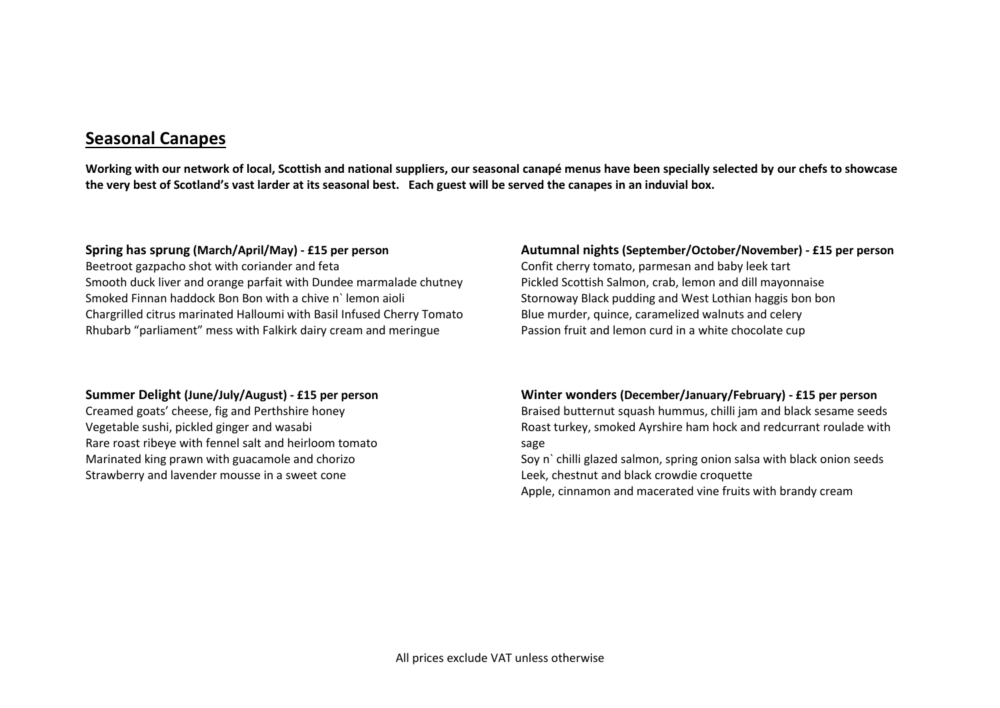# **Seasonal Canapes**

**Working with our network of local, Scottish and national suppliers, our seasonal canapé menus have been specially selected by our chefs to showcase the very best of Scotland's vast larder at its seasonal best. Each guest will be served the canapes in an induvial box.**

#### **Spring has sprung (March/April/May) - £15 per person**

Beetroot gazpacho shot with coriander and feta Smooth duck liver and orange parfait with Dundee marmalade chutney Smoked Finnan haddock Bon Bon with a chive n` lemon aioli Chargrilled citrus marinated Halloumi with Basil Infused Cherry Tomato Rhubarb "parliament" mess with Falkirk dairy cream and meringue

#### **Summer Delight (June/July/August) - £15 per person**

Creamed goats' cheese, fig and Perthshire honey Vegetable sushi, pickled ginger and wasabi Rare roast ribeye with fennel salt and heirloom tomato Marinated king prawn with guacamole and chorizo Strawberry and lavender mousse in a sweet cone

#### **Autumnal nights (September/October/November) - £15 per person**

Confit cherry tomato, parmesan and baby leek tart Pickled Scottish Salmon, crab, lemon and dill mayonnaise Stornoway Black pudding and West Lothian haggis bon bon Blue murder, quince, caramelized walnuts and celery Passion fruit and lemon curd in a white chocolate cup

#### **Winter wonders (December/January/February) - £15 per person**

Braised butternut squash hummus, chilli jam and black sesame seeds Roast turkey, smoked Ayrshire ham hock and redcurrant roulade with sage

Soy n` chilli glazed salmon, spring onion salsa with black onion seeds Leek, chestnut and black crowdie croquette

Apple, cinnamon and macerated vine fruits with brandy cream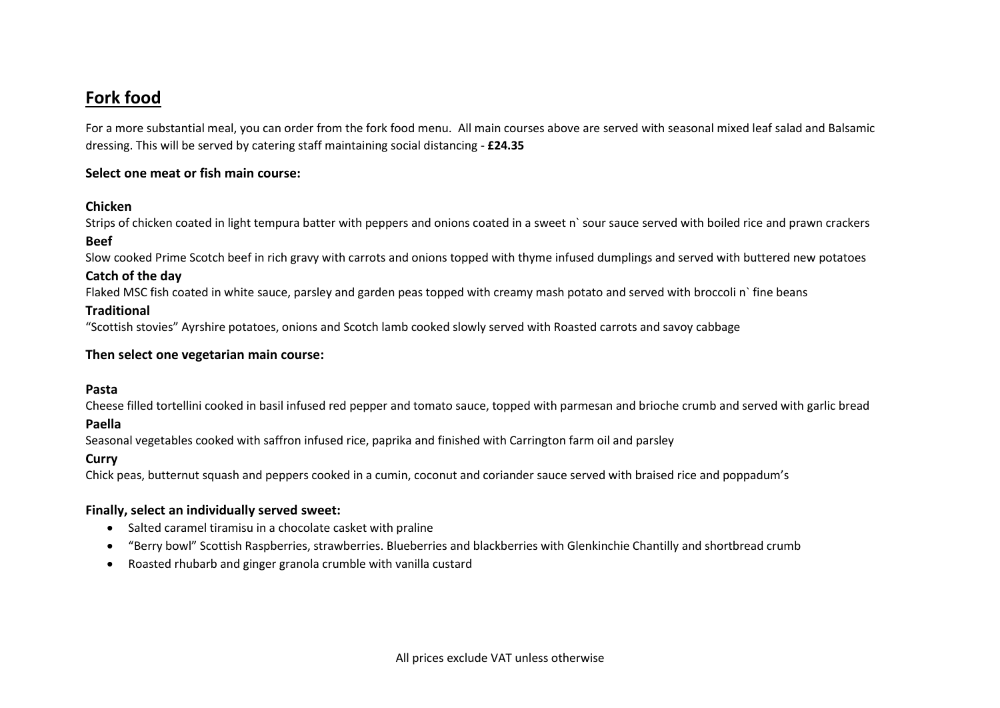# **Fork food**

For a more substantial meal, you can order from the fork food menu. All main courses above are served with seasonal mixed leaf salad and Balsamic dressing. This will be served by catering staff maintaining social distancing - **£24.35**

# **Select one meat or fish main course:**

# **Chicken**

Strips of chicken coated in light tempura batter with peppers and onions coated in a sweet n` sour sauce served with boiled rice and prawn crackers

#### **Beef**

Slow cooked Prime Scotch beef in rich gravy with carrots and onions topped with thyme infused dumplings and served with buttered new potatoes

# **Catch of the day**

Flaked MSC fish coated in white sauce, parsley and garden peas topped with creamy mash potato and served with broccoli n` fine beans

#### **Traditional**

"Scottish stovies" Ayrshire potatoes, onions and Scotch lamb cooked slowly served with Roasted carrots and savoy cabbage

#### **Then select one vegetarian main course:**

#### **Pasta**

Cheese filled tortellini cooked in basil infused red pepper and tomato sauce, topped with parmesan and brioche crumb and served with garlic bread

# **Paella**

Seasonal vegetables cooked with saffron infused rice, paprika and finished with Carrington farm oil and parsley

# **Curry**

Chick peas, butternut squash and peppers cooked in a cumin, coconut and coriander sauce served with braised rice and poppadum's

# **Finally, select an individually served sweet:**

- Salted caramel tiramisu in a chocolate casket with praline
- "Berry bowl" Scottish Raspberries, strawberries. Blueberries and blackberries with Glenkinchie Chantilly and shortbread crumb
- Roasted rhubarb and ginger granola crumble with vanilla custard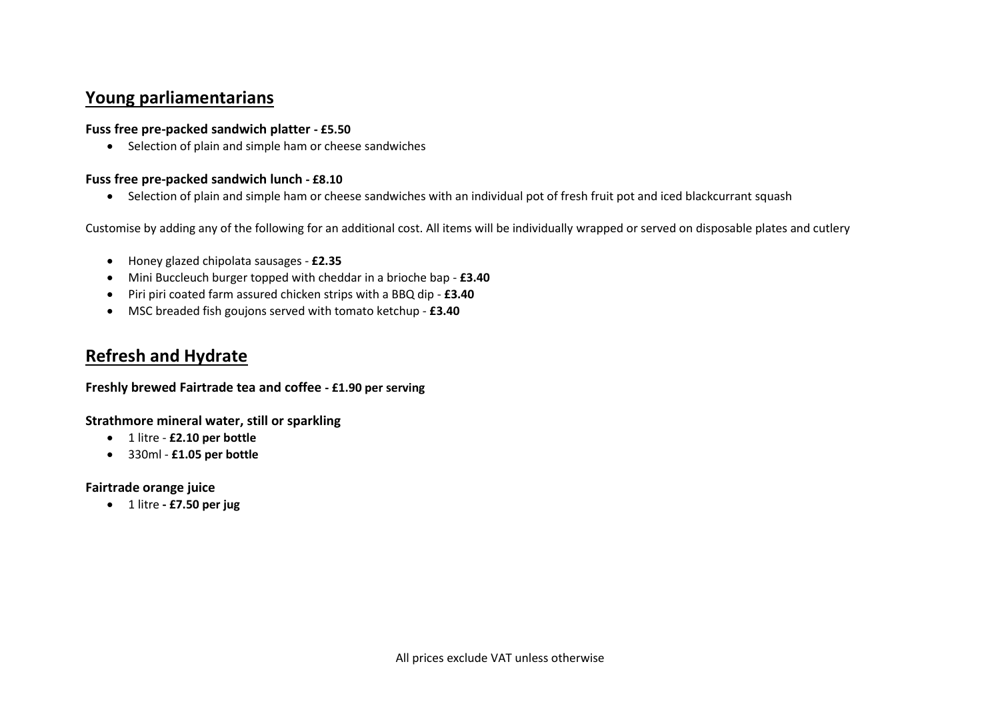# **Young parliamentarians**

# **Fuss free pre-packed sandwich platter - £5.50**

• Selection of plain and simple ham or cheese sandwiches

# **Fuss free pre-packed sandwich lunch - £8.10**

• Selection of plain and simple ham or cheese sandwiches with an individual pot of fresh fruit pot and iced blackcurrant squash

Customise by adding any of the following for an additional cost. All items will be individually wrapped or served on disposable plates and cutlery

- Honey glazed chipolata sausages **£2.35**
- Mini Buccleuch burger topped with cheddar in a brioche bap **£3.40**
- Piri piri coated farm assured chicken strips with a BBQ dip **£3.40**
- MSC breaded fish goujons served with tomato ketchup **£3.40**

# **Refresh and Hydrate**

# **Freshly brewed Fairtrade tea and coffee - £1.90 per serving**

**Strathmore mineral water, still or sparkling**

- 1 litre **£2.10 per bottle**
- 330ml **£1.05 per bottle**

# **Fairtrade orange juice**

• 1 litre **- £7.50 per jug**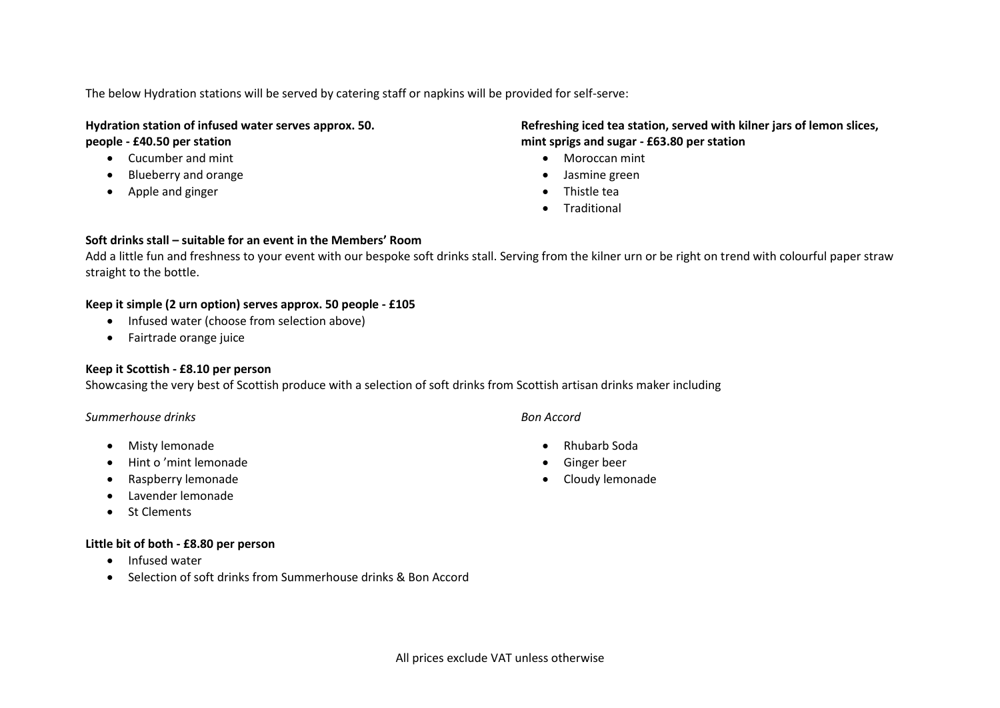The below Hydration stations will be served by catering staff or napkins will be provided for self-serve:

#### **Hydration station of infused water serves approx. 50. people - £40.50 per station**

- Cucumber and mint
- Blueberry and orange
- Apple and ginger

# **Refreshing iced tea station, served with kilner jars of lemon slices, mint sprigs and sugar - £63.80 per station**

- Moroccan mint
- Jasmine green
- Thistle tea
- **Traditional**

#### **Soft drinks stall – suitable for an event in the Members' Room**

Add a little fun and freshness to your event with our bespoke soft drinks stall. Serving from the kilner urn or be right on trend with colourful paper straw straight to the bottle.

#### **Keep it simple (2 urn option) serves approx. 50 people - £105**

- Infused water (choose from selection above)
- Fairtrade orange juice

# **Keep it Scottish - £8.10 per person**

Showcasing the very best of Scottish produce with a selection of soft drinks from Scottish artisan drinks maker including

#### *Summerhouse drinks*

- Misty lemonade
- Hint o 'mint lemonade
- Raspberry lemonade
- Lavender lemonade
- St Clements

#### **Little bit of both - £8.80 per person**

- Infused water
- Selection of soft drinks from Summerhouse drinks & Bon Accord

#### *Bon Accord*

- Rhubarb Soda
- Ginger beer
- Cloudy lemonade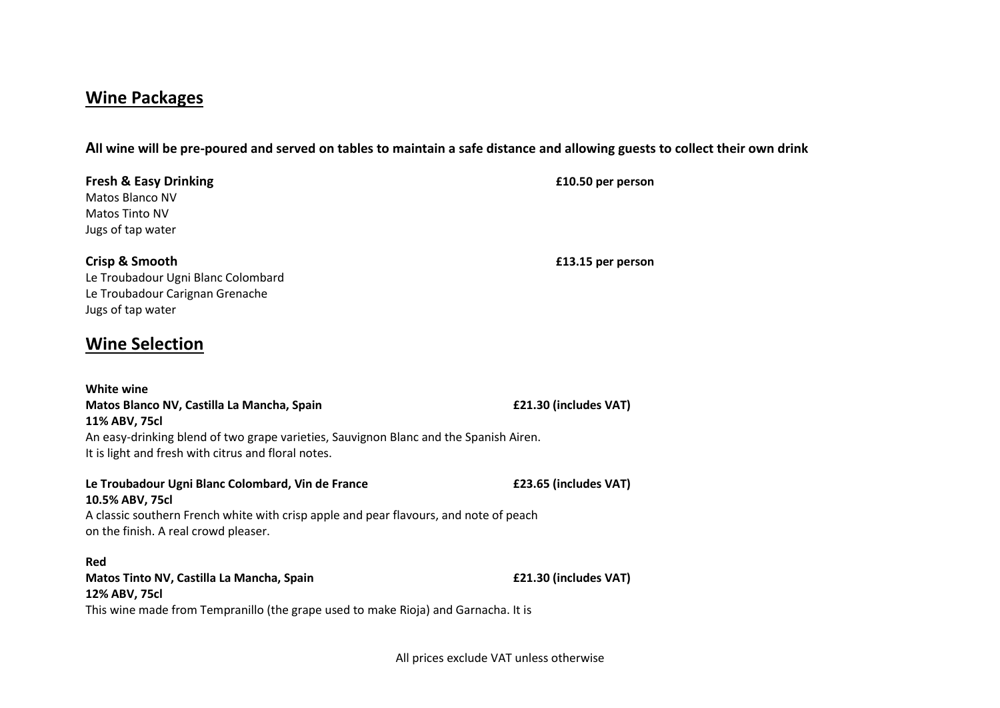# **Wine Packages**

**All wine will be pre-poured and served on tables to maintain a safe distance and allowing guests to collect their own drink**

| <b>Fresh &amp; Easy Drinking</b><br>Matos Blanco NV<br><b>Matos Tinto NV</b><br>Jugs of tap water                                                                                                                                | £10.50 per person     |
|----------------------------------------------------------------------------------------------------------------------------------------------------------------------------------------------------------------------------------|-----------------------|
| Crisp & Smooth<br>Le Troubadour Ugni Blanc Colombard<br>Le Troubadour Carignan Grenache<br>Jugs of tap water                                                                                                                     | £13.15 per person     |
| <b>Wine Selection</b>                                                                                                                                                                                                            |                       |
| <b>White wine</b><br>Matos Blanco NV, Castilla La Mancha, Spain<br>11% ABV, 75cl<br>An easy-drinking blend of two grape varieties, Sauvignon Blanc and the Spanish Airen.<br>It is light and fresh with citrus and floral notes. | £21.30 (includes VAT) |
| Le Troubadour Ugni Blanc Colombard, Vin de France<br>10.5% ABV, 75cl<br>A classic southern French white with crisp apple and pear flavours, and note of peach<br>on the finish. A real crowd pleaser.                            | £23.65 (includes VAT) |
| Red<br>Matos Tinto NV, Castilla La Mancha, Spain<br>12% ABV, 75cl                                                                                                                                                                | £21.30 (includes VAT) |

This wine made from Tempranillo (the grape used to make Rioja) and Garnacha. It is

All prices exclude VAT unless otherwise